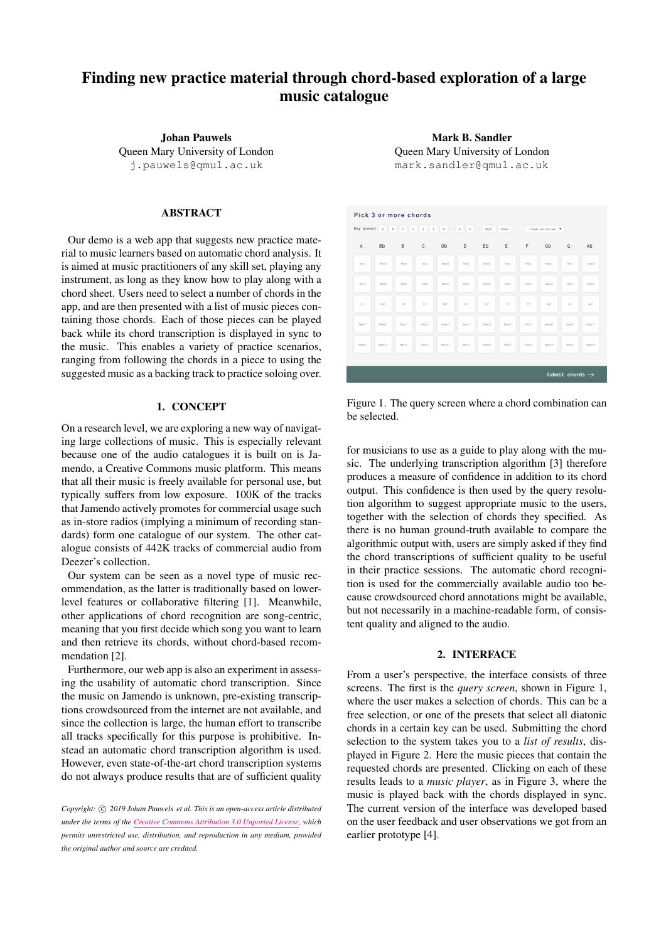# Finding new practice material through chord-based exploration of a large music catalogue

Johan Pauwels Queen Mary University of London [j.pauwels@qmul.ac.uk](mailto:j.pauwels@qmul.ac.uk)

# ABSTRACT

Our demo is a web app that suggests new practice material to music learners based on automatic chord analysis. It is aimed at music practitioners of any skill set, playing any instrument, as long as they know how to play along with a chord sheet. Users need to select a number of chords in the app, and are then presented with a list of music pieces containing those chords. Each of those pieces can be played back while its chord transcription is displayed in sync to the music. This enables a variety of practice scenarios, ranging from following the chords in a piece to using the suggested music as a backing track to practice soloing over.

#### 1. CONCEPT

On a research level, we are exploring a new way of navigating large collections of music. This is especially relevant because one of the audio catalogues it is built on is Jamendo, a Creative Commons music platform. This means that all their music is freely available for personal use, but typically suffers from low exposure. 100K of the tracks that Jamendo actively promotes for commercial usage such as in-store radios (implying a minimum of recording standards) form one catalogue of our system. The other catalogue consists of 442K tracks of commercial audio from Deezer's collection.

Our system can be seen as a novel type of music recommendation, as the latter is traditionally based on lowerlevel features or collaborative filtering [\[1\]](#page-1-0). Meanwhile, other applications of chord recognition are song-centric, meaning that you first decide which song you want to learn and then retrieve its chords, without chord-based recommendation [\[2\]](#page-1-1).

Furthermore, our web app is also an experiment in assessing the usability of automatic chord transcription. Since the music on Jamendo is unknown, pre-existing transcriptions crowdsourced from the internet are not available, and since the collection is large, the human effort to transcribe all tracks specifically for this purpose is prohibitive. Instead an automatic chord transcription algorithm is used. However, even state-of-the-art chord transcription systems do not always produce results that are of sufficient quality

Mark B. Sandler Queen Mary University of London [mark.sandler@qmul.ac.uk](mailto:mark.sandler@qmul.ac.uk)

<span id="page-0-0"></span>

Figure 1. The query screen where a chord combination can be selected.

for musicians to use as a guide to play along with the music. The underlying transcription algorithm [\[3\]](#page-1-2) therefore produces a measure of confidence in addition to its chord output. This confidence is then used by the query resolution algorithm to suggest appropriate music to the users, together with the selection of chords they specified. As there is no human ground-truth available to compare the algorithmic output with, users are simply asked if they find the chord transcriptions of sufficient quality to be useful in their practice sessions. The automatic chord recognition is used for the commercially available audio too because crowdsourced chord annotations might be available, but not necessarily in a machine-readable form, of consistent quality and aligned to the audio.

### 2. INTERFACE

From a user's perspective, the interface consists of three screens. The first is the *query screen*, shown in Figure [1,](#page-0-0) where the user makes a selection of chords. This can be a free selection, or one of the presets that select all diatonic chords in a certain key can be used. Submitting the chord selection to the system takes you to a *list of results*, displayed in Figure [2.](#page-1-3) Here the music pieces that contain the requested chords are presented. Clicking on each of these results leads to a *music player*, as in Figure [3,](#page-1-4) where the music is played back with the chords displayed in sync. The current version of the interface was developed based on the user feedback and user observations we got from an earlier prototype [\[4\]](#page-1-5).

Copyright:  $\odot$  2019 Johan Pauwels et al. This is an open-access article distributed *under the terms of the [Creative Commons Attribution 3.0 Unported License,](http://creativecommons.org/licenses/by/3.0/) which permits unrestricted use, distribution, and reproduction in any medium, provided the original author and source are credited.*